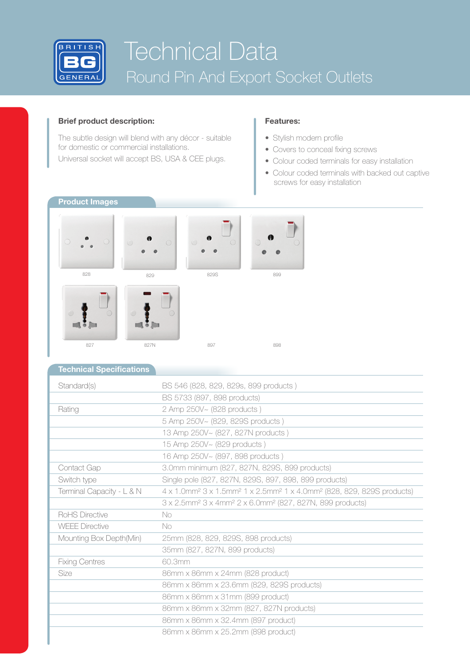

# Technical Data Round Pin And Export Socket Outlets

## **Brief product description:**

The subtle design will blend with any décor - suitable for domestic or commercial installations.

Universal socket will accept BS, USA & CEE plugs.

## **Features:**

- Stylish modern profile
- Covers to conceal fixing screws
- Colour coded terminals for easy installation
- Colour coded terminals with backed out captive screws for easy installation



## **Technical Specifications**

| Standard(s)               | BS 546 (828, 829, 829s, 899 products)                                                                                 |
|---------------------------|-----------------------------------------------------------------------------------------------------------------------|
|                           | BS 5733 (897, 898 products)                                                                                           |
| Rating                    | 2 Amp 250V~ (828 products)                                                                                            |
|                           | 5 Amp 250V~ (829, 829S products)                                                                                      |
|                           | 13 Amp 250V~ (827, 827N products)                                                                                     |
|                           | 15 Amp 250V~ (829 products)                                                                                           |
|                           | 16 Amp 250V~ (897, 898 products)                                                                                      |
| Contact Gap               | 3.0mm minimum (827, 827N, 829S, 899 products)                                                                         |
| Switch type               | Single pole (827, 827N, 829S, 897, 898, 899 products)                                                                 |
| Terminal Capacity - L & N | 4 x 1.0mm <sup>2</sup> 3 x 1.5mm <sup>2</sup> 1 x 2.5mm <sup>2</sup> 1 x 4.0mm <sup>2</sup> (828, 829, 829S products) |
|                           | 3 x 2.5mm <sup>2</sup> 3 x 4mm <sup>2</sup> 2 x 6.0mm <sup>2</sup> (827, 827N, 899 products)                          |
| RoHS Directive            | No.                                                                                                                   |
| <b>WEEE Directive</b>     | No.                                                                                                                   |
| Mounting Box Depth(Min)   | 25mm (828, 829, 829S, 898 products)                                                                                   |
|                           | 35mm (827, 827N, 899 products)                                                                                        |
| <b>Fixing Centres</b>     | 60.3mm                                                                                                                |
| Size                      | 86mm x 86mm x 24mm (828 product)                                                                                      |
|                           | 86mm x 86mm x 23.6mm (829, 829S products)                                                                             |
|                           | 86mm x 86mm x 31mm (899 product)                                                                                      |
|                           | 86mm x 86mm x 32mm (827, 827N products)                                                                               |
|                           | 86mm x 86mm x 32.4mm (897 product)                                                                                    |
|                           | 86mm x 86mm x 25.2mm (898 product)                                                                                    |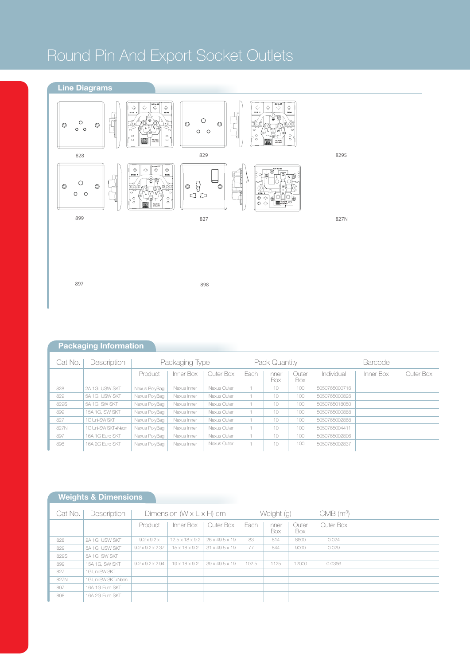## Round Pin And Export Socket Outlets

**Line Diagrams**



897

898

|  | <b>Packaging Information</b> |  |
|--|------------------------------|--|
|  |                              |  |
|  |                              |  |

| Cat No. | Description        | Packaging Type |             |             | Pack Quantity |               |              | <b>Barcode</b> |           |           |
|---------|--------------------|----------------|-------------|-------------|---------------|---------------|--------------|----------------|-----------|-----------|
|         |                    | Product        | Inner Box   | Outer Box   | Each          | Inner<br>Box. | Outer<br>Box | Individual     | Inner Box | Outer Box |
| 828     | 2A 1G, USW SKT     | Nexus PolyBag  | Nexus Inner | Nexus Outer |               | 10            | 100          | 5050765000716  |           |           |
| 829     | 5A 1G. USW SKT     | Nexus PolyBag  | Nexus Inner | Nexus Outer |               | 10            | 100          | 5050765000826  |           |           |
| 829S    | 5A 1G. SW SKT      | Nexus PolyBag  | Nexus Inner | Nexus Outer |               | 10            | 100          | 5050765018050  |           |           |
| 899     | 15A 1G, SW SKT     | Nexus PolyBag  | Nexus Inner | Nexus Outer |               | 10            | 100          | 5050765000888  |           |           |
| 827     | 1G Uni-SW SKT      | Nexus PolyBag  | Nexus Inner | Nexus Outer |               | 10            | 100          | 5050765002868  |           |           |
| 827N    | 1G Uni-SW SKT+Neon | Nexus PolyBag  | Nexus Inner | Nexus Outer |               | 10            | 100          | 5050765004411  |           |           |
| 897     | 16A 1G Euro SKT    | Nexus PolyBag  | Nexus Inner | Nexus Outer |               | 10            | 100          | 5050765002806  |           |           |
| 898     | 16A 2G Euro SKT    | Nexus PolyBag  | Nexus Inner | Nexus Outer |               | 10            | 100          | 5050765002837  |           |           |

## **Weights & Dimensions**

| Cat No. | Description        | Dimension $(W \times L \times H)$ cm |                             |                            | Weight (g) |              |              | $CMB$ (m <sup>3</sup> ) |
|---------|--------------------|--------------------------------------|-----------------------------|----------------------------|------------|--------------|--------------|-------------------------|
|         |                    | Product                              | Inner Box                   | Outer Box                  | Each       | Inner<br>Box | Outer<br>Box | Outer Box               |
| 828     | 2A 1G, USW SKT     | $9.2 \times 9.2 \times$              | $12.5 \times 18 \times 9.2$ | 26 x 49.5 x 19             | 83         | 814          | 8600         | 0.024                   |
| 829     | 5A 1G, USW SKT     | $9.2 \times 9.2 \times 2.37$         | $15 \times 18 \times 9.2$   | $31 \times 49.5 \times 19$ | 77         | 844          | 9000         | 0.029                   |
| 829S    | 5A 1G, SW SKT      |                                      |                             |                            |            |              |              |                         |
| 899     | 15A 1G, SW SKT     | $9.2 \times 9.2 \times 2.94$         | $19 \times 18 \times 9.2$   | 39 x 49.5 x 19             | 102.5      | 1125         | 12000        | 0.0366                  |
| 827     | 1G Uni-SW SKT      |                                      |                             |                            |            |              |              |                         |
| 827N    | 1G Uni-SW SKT+Neon |                                      |                             |                            |            |              |              |                         |
| 897     | 16A 1G Euro SKT    |                                      |                             |                            |            |              |              |                         |
| 898     | 16A 2G Euro SKT    |                                      |                             |                            |            |              |              |                         |